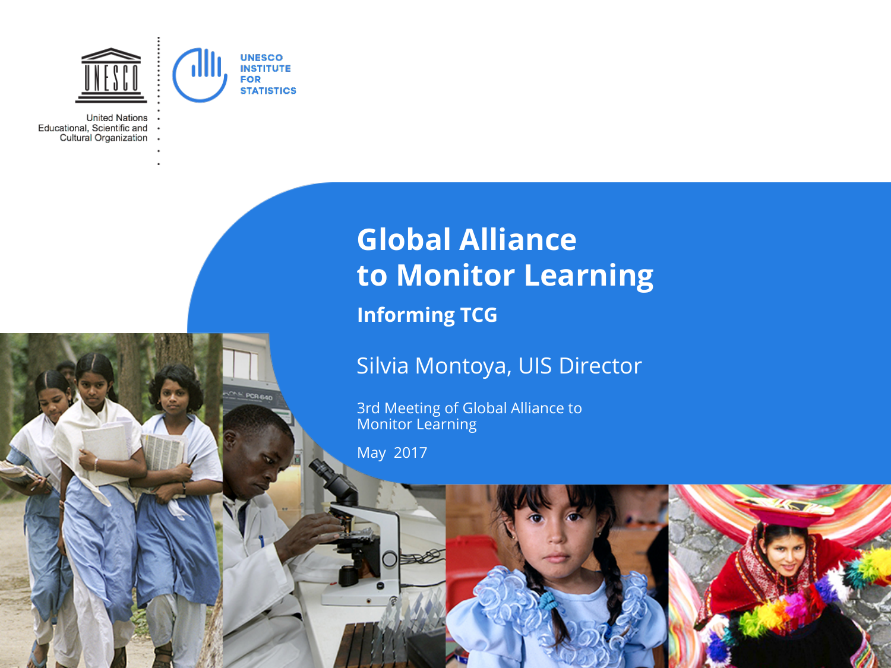

PCR 640

**United Nations** Educational, Scientific and Cultural Organization

# **Global Alliance to Monitor Learning**

**Informing TCG** 

## Silvia Montoya, UIS Director

3rd Meeting of Global Alliance to Monitor Learning

May 2017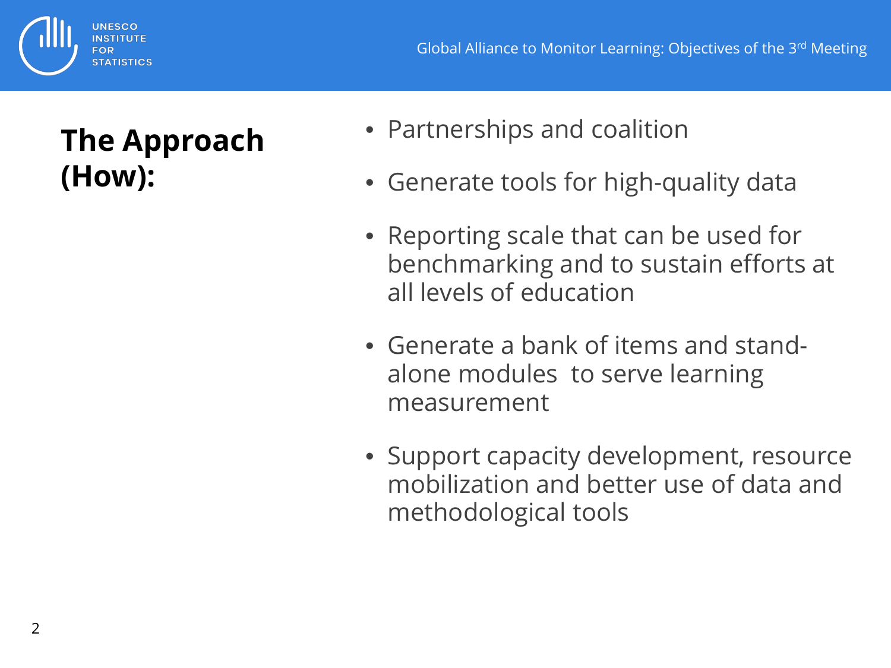# UNESCO **STATISTICS**

# **The Approach (How):**

- Partnerships and coalition
- Generate tools for high-quality data
- Reporting scale that can be used for benchmarking and to sustain efforts at all levels of education
- Generate a bank of items and standalone modules to serve learning measurement
- Support capacity development, resource mobilization and better use of data and methodological tools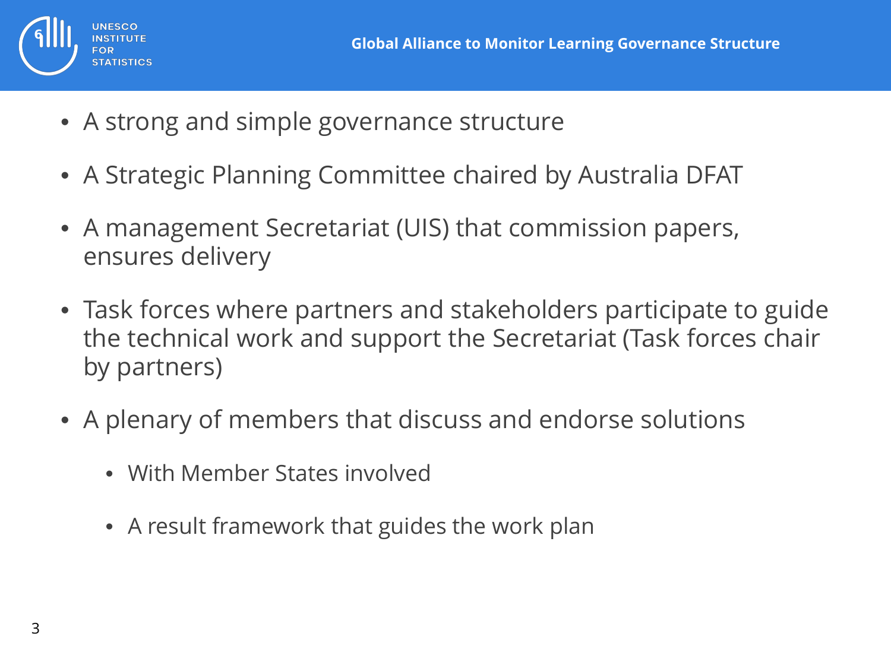

- A strong and simple governance structure
- A Strategic Planning Committee chaired by Australia DFAT
- A management Secretariat (UIS) that commission papers, ensures delivery
- Task forces where partners and stakeholders participate to guide the technical work and support the Secretariat (Task forces chair by partners)
- A plenary of members that discuss and endorse solutions
	- With Member States involved
	- A result framework that guides the work plan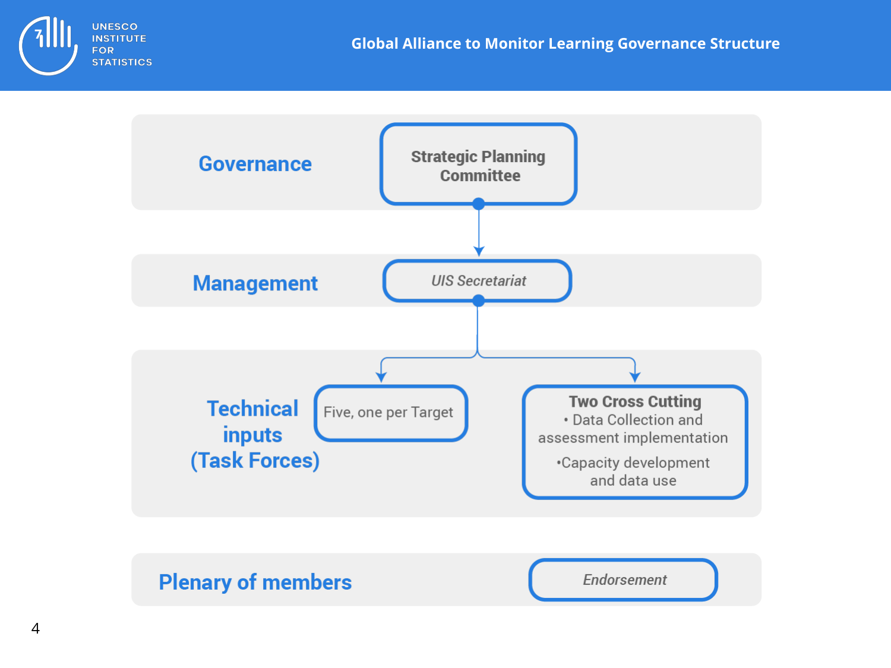



### **Plenary of members**

**Endorsement**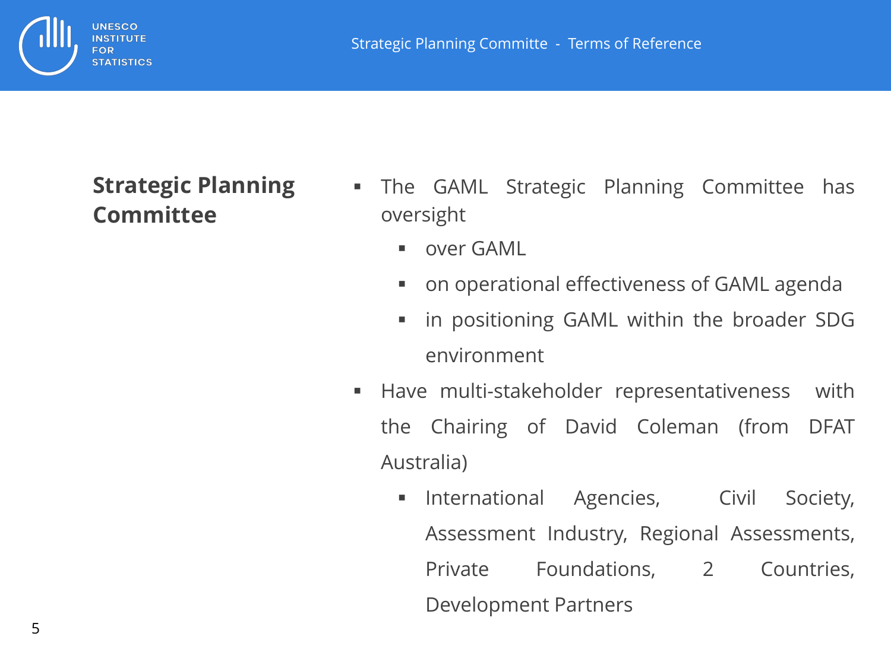

## **Strategic Planning Committee**

**UNESCO INSTITUTE** FOR **STATISTICS** 

- The GAML Strategic Planning Committee has oversight
	- **DECAME**
	- on operational effectiveness of GAML agenda
	- **If all promisioning GAML within the broader SDG** environment
- **Have multi-stakeholder representativeness with** the Chairing of David Coleman (from DFAT Australia)
	- **International Agencies, Civil Society,** Assessment Industry, Regional Assessments, Private Foundations, 2 Countries, Development Partners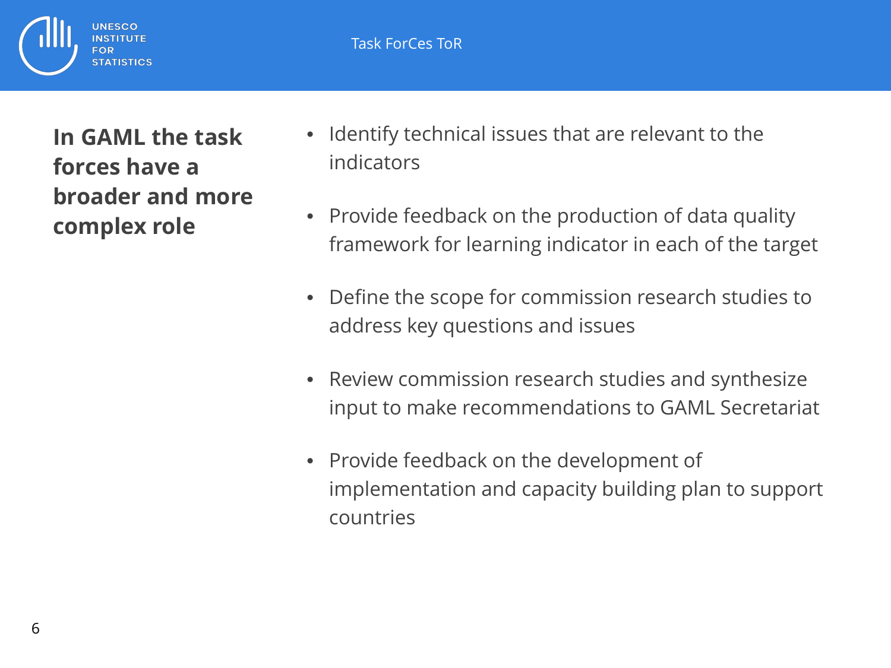Task ForCes ToR

**In GAML the task forces have a broader and more complex role** 

UNESCO

**STATISTICS** 

- Identify technical issues that are relevant to the indicators
- Provide feedback on the production of data quality framework for learning indicator in each of the target
- Define the scope for commission research studies to address key questions and issues
- Review commission research studies and synthesize input to make recommendations to GAML Secretariat
- Provide feedback on the development of implementation and capacity building plan to support countries